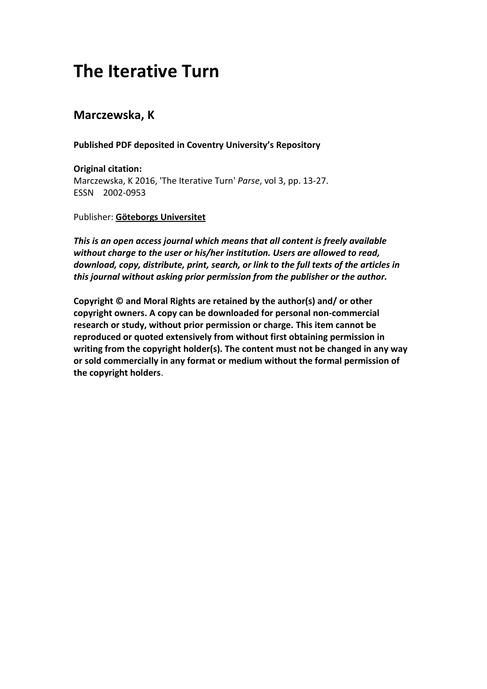## **The Iterative Turn**

## **Marczewska, K**

## **Published PDF deposited in Coventry University's Repository**

**Original citation:** Marczewska, K 2016, 'The Iterative Turn' *Parse*, vol 3, pp. 13-27. ESSN 2002-0953

## Publisher: **[Göteborgs Universitet](http://www.gu.se/)**

*This is an open access journal which means that all content is freely available without charge to the user or his/her institution. Users are allowed to read, download, copy, distribute, print, search, or link to the full texts of the articles in this journal without asking prior permission from the publisher or the author.*

**Copyright © and Moral Rights are retained by the author(s) and/ or other copyright owners. A copy can be downloaded for personal non-commercial research or study, without prior permission or charge. This item cannot be reproduced or quoted extensively from without first obtaining permission in writing from the copyright holder(s). The content must not be changed in any way or sold commercially in any format or medium without the formal permission of the copyright holders**.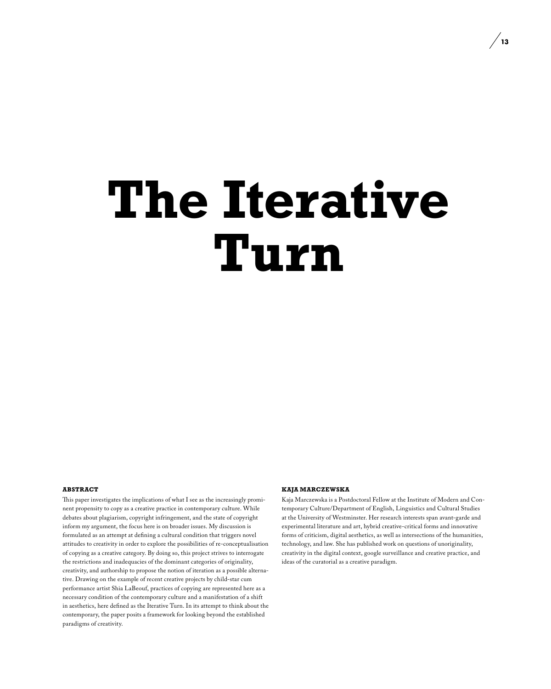

# **The Iterative Turn**

This paper investigates the implications of what I see as the increasingly prominent propensity to copy as a creative practice in contemporary culture. While debates about plagiarism, copyright infringement, and the state of copyright inform my argument, the focus here is on broader issues. My discussion is formulated as an attempt at defning a cultural condition that triggers novel attitudes to creativity in order to explore the possibilities of re-conceptualisation of copying as a creative category. By doing so, this project strives to interrogate the restrictions and inadequacies of the dominant categories of originality, creativity, and authorship to propose the notion of iteration as a possible alternative. Drawing on the example of recent creative projects by child-star cum performance artist Shia LaBeouf, practices of copying are represented here as a necessary condition of the contemporary culture and a manifestation of a shift in aesthetics, here defned as the Iterative Turn. In its attempt to think about the contemporary, the paper posits a framework for looking beyond the established paradigms of creativity.

### **ABSTRACT KAJA MARCZEWSKA**

Kaja Marczewska is a Postdoctoral Fellow at the Institute of Modern and Contemporary Culture/Department of English, Linguistics and Cultural Studies at the University of Westminster. Her research interests span avant-garde and experimental literature and art, hybrid creative-critical forms and innovative forms of criticism, digital aesthetics, as well as intersections of the humanities, technology, and law. She has published work on questions of unoriginality, creativity in the digital context, google surveillance and creative practice, and ideas of the curatorial as a creative paradigm.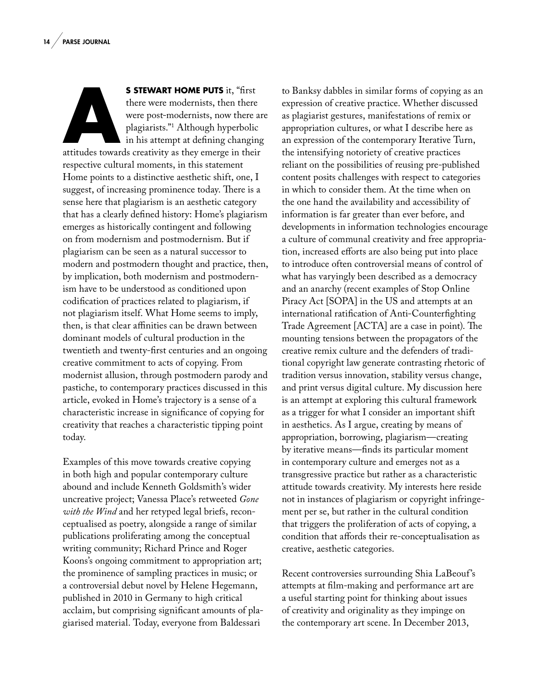**S STEWART HOME PUTS** it, "first there were modernists, then there were post-modernists, now there at plagiarists."<sup>1</sup> Although hyperbolic in his attempt at defining changing attitudes towards creativity as they emerge in there were modernists, then there were post-modernists, now there are plagiarists."1 Although hyperbolic in his attempt at defning changing

respective cultural moments, in this statement Home points to a distinctive aesthetic shift, one, I suggest, of increasing prominence today. There is a sense here that plagiarism is an aesthetic category that has a clearly defned history: Home's plagiarism emerges as historically contingent and following on from modernism and postmodernism. But if plagiarism can be seen as a natural successor to modern and postmodern thought and practice, then, by implication, both modernism and postmodernism have to be understood as conditioned upon codifcation of practices related to plagiarism, if not plagiarism itself. What Home seems to imply, then, is that clear affinities can be drawn between dominant models of cultural production in the twentieth and twenty-frst centuries and an ongoing creative commitment to acts of copying. From modernist allusion, through postmodern parody and pastiche, to contemporary practices discussed in this article, evoked in Home's trajectory is a sense of a characteristic increase in signifcance of copying for creativity that reaches a characteristic tipping point today.

Examples of this move towards creative copying in both high and popular contemporary culture abound and include Kenneth Goldsmith's wider uncreative project; Vanessa Place's retweeted *Gone with the Wind* and her retyped legal briefs, reconceptualised as poetry, alongside a range of similar publications proliferating among the conceptual writing community; Richard Prince and Roger Koons's ongoing commitment to appropriation art; the prominence of sampling practices in music; or a controversial debut novel by Helene Hegemann, published in 2010 in Germany to high critical acclaim, but comprising signifcant amounts of plagiarised material. Today, everyone from Baldessari

to Banksy dabbles in similar forms of copying as an expression of creative practice. Whether discussed as plagiarist gestures, manifestations of remix or appropriation cultures, or what I describe here as an expression of the contemporary Iterative Turn, the intensifying notoriety of creative practices reliant on the possibilities of reusing pre-published content posits challenges with respect to categories in which to consider them. At the time when on the one hand the availability and accessibility of information is far greater than ever before, and developments in information technologies encourage a culture of communal creativity and free appropriation, increased efforts are also being put into place to introduce often controversial means of control of what has varyingly been described as a democracy and an anarchy (recent examples of Stop Online Piracy Act [SOPA] in the US and attempts at an international ratifcation of Anti-Counterfghting Trade Agreement [ACTA] are a case in point). The mounting tensions between the propagators of the creative remix culture and the defenders of traditional copyright law generate contrasting rhetoric of tradition versus innovation, stability versus change, and print versus digital culture. My discussion here is an attempt at exploring this cultural framework as a trigger for what I consider an important shift in aesthetics. As I argue, creating by means of appropriation, borrowing, plagiarism—creating by iterative means—fnds its particular moment in contemporary culture and emerges not as a transgressive practice but rather as a characteristic attitude towards creativity. My interests here reside not in instances of plagiarism or copyright infringement per se, but rather in the cultural condition that triggers the proliferation of acts of copying, a condition that afords their re-conceptualisation as creative, aesthetic categories.

Recent controversies surrounding Shia LaBeouf's attempts at flm-making and performance art are a useful starting point for thinking about issues of creativity and originality as they impinge on the contemporary art scene. In December 2013,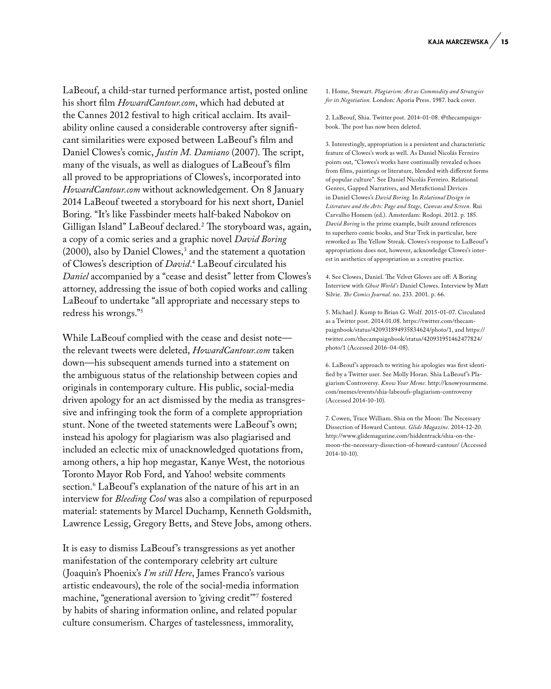LaBeouf, a child-star turned performance artist, posted online his short flm *HowardCantour.com*, which had debuted at the Cannes 2012 festival to high critical acclaim. Its availability online caused a considerable controversy after signifcant similarities were exposed between LaBeouf's flm and Daniel Clowes's comic, *Justin M. Damiano* (2007). The script, many of the visuals, as well as dialogues of LaBeouf's flm all proved to be appropriations of Clowes's, incorporated into *HowardCantour.com* without acknowledgement. On 8 January 2014 LaBeouf tweeted a storyboard for his next short, Daniel Boring. "It's like Fassbinder meets half-baked Nabokov on Gilligan Island" LaBeouf declared.<sup>2</sup> The storyboard was, again, a copy of a comic series and a graphic novel *David Boring*  $(2000)$ , also by Daniel Clowes, $3$  and the statement a quotation of Clowes's description of *David*. 4 LaBeouf circulated his *Daniel* accompanied by a "cease and desist" letter from Clowes's attorney, addressing the issue of both copied works and calling LaBeouf to undertake "all appropriate and necessary steps to redress his wrongs."5

While LaBeouf complied with the cease and desist note the relevant tweets were deleted, *HowardCantour.com* taken down—his subsequent amends turned into a statement on the ambiguous status of the relationship between copies and originals in contemporary culture. His public, social-media driven apology for an act dismissed by the media as transgressive and infringing took the form of a complete appropriation stunt. None of the tweeted statements were LaBeouf's own; instead his apology for plagiarism was also plagiarised and included an eclectic mix of unacknowledged quotations from, among others, a hip hop megastar, Kanye West, the notorious Toronto Mayor Rob Ford, and Yahoo! website comments section.6 LaBeouf's explanation of the nature of his art in an interview for *Bleeding Cool* was also a compilation of repurposed material: statements by Marcel Duchamp, Kenneth Goldsmith, Lawrence Lessig, Gregory Betts, and Steve Jobs, among others.

It is easy to dismiss LaBeouf's transgressions as yet another manifestation of the contemporary celebrity art culture (Joaquin's Phoenix's *I'm still Here*, James Franco's various artistic endeavours), the role of the social-media information machine, "generational aversion to 'giving credit'"7 fostered by habits of sharing information online, and related popular culture consumerism. Charges of tastelessness, immorality,

1. Home, Stewart. *Plagiarism: Art as Commodity and Strategies for its Negotiation.* London: Aporia Press. 1987. back cover.

2. LaBeouf, Shia. Twitter post. 2014-01-08. @thecampaignbook. The post has now been deleted.

3. Interestingly, appropriation is a persistent and characteristic feature of Clowes's work as well. As Daniel Nicolás Ferreiro points out, "Clowes's works have continually revealed echoes from flms, paintings or literature, blended with diferent forms of popular culture". See Daniel Nicolás Ferreiro. Relational Genres, Gapped Narratives, and Metafctional Devices in Daniel Clowes's *David Boring*. In *Relational Design in Literature and the Arts: Page and Stage, Canvas and Screen.* Rui Carvalho Homem (ed.). Amsterdam: Rodopi. 2012. p. 185. *David Boring* is the prime example, built around references to superhero comic books, and Star Trek in particular, here reworked as The Yellow Streak. Clowes's response to LaBeouf's appropriations does not, however, acknowledge Clowes's interest in aesthetics of appropriation as a creative practice.

4. See Clowes, Daniel. The Velvet Gloves are off: A Boring Interview with *Ghost World's* Daniel Clowes. Interview by Matt Silvie. *Te Comics Journal*. no. 233. 2001. p. 66.

5. Michael J. Kump to Brian G. Wolf. 2015-01-07. Circulated as a Twitter post. 2014.01.08. https://twitter.com/thecampaignbook/status/420931894935834624/photo/1, and https:// twitter.com/thecampaignbook/status/420931951462477824/ photo/1 (Accessed 2016-04-08).

6. LaBeouf's approach to writing his apologies was frst identifed by a Twitter user. See Molly Horan. Shia LaBeouf's Plagiarism Controversy. *Know Your Meme.* http://knowyourmeme. com/memes/events/shia-labeoufs-plagiarism-controversy (Accessed 2014-10-10).

7. Cowen, Trace William. Shia on the Moon: The Necessary Dissection of Howard Cantour. *Glide Magazine.* 2014-12-20. http://www.glidemagazine.com/hiddentrack/shia-on-themoon-the-necessary-dissection-of-howard-cantour/ (Accessed 2014-10-10).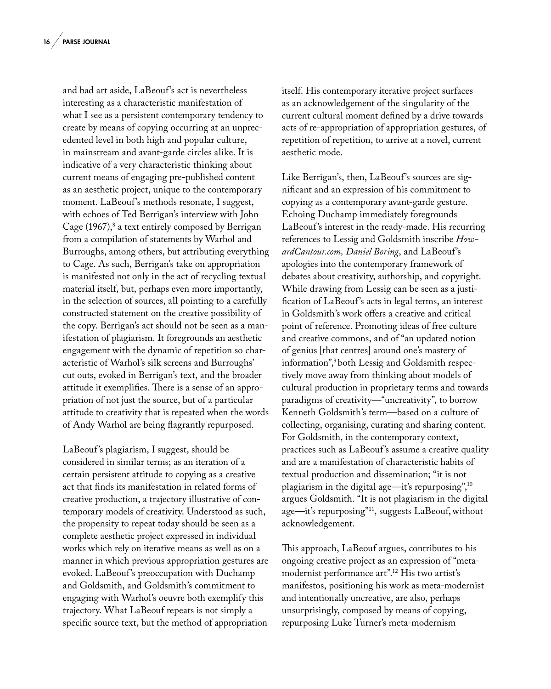and bad art aside, LaBeouf's act is nevertheless interesting as a characteristic manifestation of what I see as a persistent contemporary tendency to create by means of copying occurring at an unprecedented level in both high and popular culture, in mainstream and avant-garde circles alike. It is indicative of a very characteristic thinking about current means of engaging pre-published content as an aesthetic project, unique to the contemporary moment. LaBeouf's methods resonate, I suggest, with echoes of Ted Berrigan's interview with John Cage (1967),<sup>8</sup> a text entirely composed by Berrigan from a compilation of statements by Warhol and Burroughs, among others, but attributing everything to Cage. As such, Berrigan's take on appropriation is manifested not only in the act of recycling textual material itself, but, perhaps even more importantly, in the selection of sources, all pointing to a carefully constructed statement on the creative possibility of the copy. Berrigan's act should not be seen as a manifestation of plagiarism. It foregrounds an aesthetic engagement with the dynamic of repetition so characteristic of Warhol's silk screens and Burroughs' cut outs, evoked in Berrigan's text, and the broader attitude it exemplifies. There is a sense of an appropriation of not just the source, but of a particular attitude to creativity that is repeated when the words of Andy Warhol are being fagrantly repurposed.

LaBeouf's plagiarism, I suggest, should be considered in similar terms; as an iteration of a certain persistent attitude to copying as a creative act that fnds its manifestation in related forms of creative production, a trajectory illustrative of contemporary models of creativity. Understood as such, the propensity to repeat today should be seen as a complete aesthetic project expressed in individual works which rely on iterative means as well as on a manner in which previous appropriation gestures are evoked. LaBeouf's preoccupation with Duchamp and Goldsmith, and Goldsmith's commitment to engaging with Warhol's oeuvre both exemplify this trajectory. What LaBeouf repeats is not simply a specifc source text, but the method of appropriation

itself. His contemporary iterative project surfaces as an acknowledgement of the singularity of the current cultural moment defned by a drive towards acts of re-appropriation of appropriation gestures, of repetition of repetition, to arrive at a novel, current aesthetic mode.

Like Berrigan's, then, LaBeouf's sources are signifcant and an expression of his commitment to copying as a contemporary avant-garde gesture. Echoing Duchamp immediately foregrounds LaBeouf's interest in the ready-made. His recurring references to Lessig and Goldsmith inscribe *HowardCantour.com, Daniel Boring*, and LaBeouf's apologies into the contemporary framework of debates about creativity, authorship, and copyright. While drawing from Lessig can be seen as a justifcation of LaBeouf's acts in legal terms, an interest in Goldsmith's work ofers a creative and critical point of reference. Promoting ideas of free culture and creative commons, and of "an updated notion of genius [that centres] around one's mastery of information",<sup>9</sup> both Lessig and Goldsmith respectively move away from thinking about models of cultural production in proprietary terms and towards paradigms of creativity—"uncreativity", to borrow Kenneth Goldsmith's term—based on a culture of collecting, organising, curating and sharing content. For Goldsmith, in the contemporary context, practices such as LaBeouf's assume a creative quality and are a manifestation of characteristic habits of textual production and dissemination; "it is not plagiarism in the digital age—it's repurposing",10 argues Goldsmith. "It is not plagiarism in the digital age—it's repurposing"11, suggests LaBeouf,without acknowledgement.

This approach, LaBeouf argues, contributes to his ongoing creative project as an expression of "metamodernist performance art".12 His two artist's manifestos, positioning his work as meta-modernist and intentionally uncreative, are also, perhaps unsurprisingly, composed by means of copying, repurposing Luke Turner's meta-modernism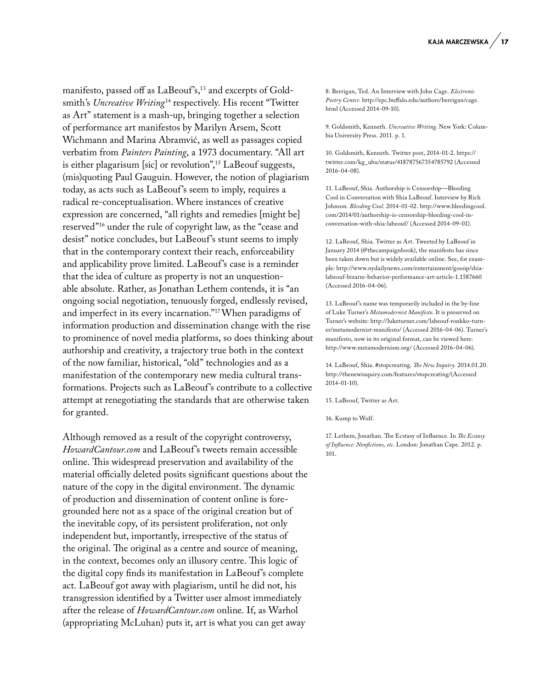manifesto, passed off as LaBeouf's,<sup>13</sup> and excerpts of Goldsmith's *Uncreative Writing*<sup>14</sup> respectively. His recent "Twitter as Art" statement is a mash-up, bringing together a selection of performance art manifestos by Marilyn Arsem, Scott Wichmann and Marina Abramvić, as well as passages copied verbatim from *Painters Painting*, a 1973 documentary. "All art is either plagarisum [sic] or revolution",<sup>15</sup> LaBeouf suggests, (mis)quoting Paul Gauguin. However, the notion of plagiarism today, as acts such as LaBeouf's seem to imply, requires a radical re-conceptualisation. Where instances of creative expression are concerned, "all rights and remedies [might be] reserved"16 under the rule of copyright law, as the "cease and desist" notice concludes, but LaBeouf's stunt seems to imply that in the contemporary context their reach, enforceability and applicability prove limited. LaBeouf's case is a reminder that the idea of culture as property is not an unquestionable absolute. Rather, as Jonathan Lethem contends, it is "an ongoing social negotiation, tenuously forged, endlessly revised, and imperfect in its every incarnation."17 When paradigms of information production and dissemination change with the rise to prominence of novel media platforms, so does thinking about authorship and creativity, a trajectory true both in the context of the now familiar, historical, "old" technologies and as a manifestation of the contemporary new media cultural transformations. Projects such as LaBeouf's contribute to a collective attempt at renegotiating the standards that are otherwise taken for granted.

Although removed as a result of the copyright controversy, *HowardCantour.com* and LaBeouf's tweets remain accessible online. This widespread preservation and availability of the material officially deleted posits significant questions about the nature of the copy in the digital environment. The dynamic of production and dissemination of content online is foregrounded here not as a space of the original creation but of the inevitable copy, of its persistent proliferation, not only independent but, importantly, irrespective of the status of the original. The original as a centre and source of meaning, in the context, becomes only an illusory centre. This logic of the digital copy fnds its manifestation in LaBeouf's complete act. LaBeouf got away with plagiarism, until he did not, his transgression identifed by a Twitter user almost immediately after the release of *HowardCantour.com* online. If, as Warhol (appropriating McLuhan) puts it, art is what you can get away

8. Berrigan, Ted. An Interview with John Cage. *Electronic Poetry Center.* http://epc.bufalo.edu/authors/berrigan/cage. html (Accessed 2014-09-10).

9. Goldsmith, Kenneth. *Uncreative Writing*. New York: Columbia University Press. 2011. p. 1.

10. Goldsmith, Kenneth. Twitter post, 2014-01-2. https:// twitter.com/kg\_ubu/status/418787567354785792 (Accessed 2016-04-08).

11. LaBeouf, Shia. Authorship is Censorship—Bleeding Cool in Conversation with Shia LaBeouf. Interview by Rich Johnson. *Bleeding Cool*. 2014-01-02. http://www.bleedingcool. com/2014/01/authorship-is-censorship-bleeding-cool-inconversation-with-shia-labeouf/ (Accessed 2014-09-01).

12. LaBeouf, Shia. Twitter as Art. Tweeted by LaBeouf in January 2014 (@thecampaignbook), the manifesto has since been taken down but is widely available online. See, for example: http://www.nydailynews.com/entertainment/gossip/shialabeouf-bizarre-behavior-performance-art-article-1.1587660 (Accessed 2016-04-06).

13. LaBeouf's name was temporarily included in the by-line of Luke Turner's *Metamodernist Manifesto*. It is preserved on Turner's website: http://luketurner.com/labeouf-ronkko-turner/metamodernist-manifesto/ (Accessed 2016-04-06). Turner's manifesto, now in its original format, can be viewed here: http://www.metamodernism.org/ (Accessed 2016-04-06).

14. LaBeouf, Shia. #stopcreating. *Te New Inquiry.* 2014.01.20. http://thenewinquiry.com/features/stopcreating/(Accessed 2014-01-10).

15. LaBeouf, Twitter as Art.

16. Kump to Wolf.

17. Lethem, Jonathan. The Ecstasy of Influence. In *The Ecstasy of Infuence: Nonfctions, etc.* London: Jonathan Cape. 2012. p. 101.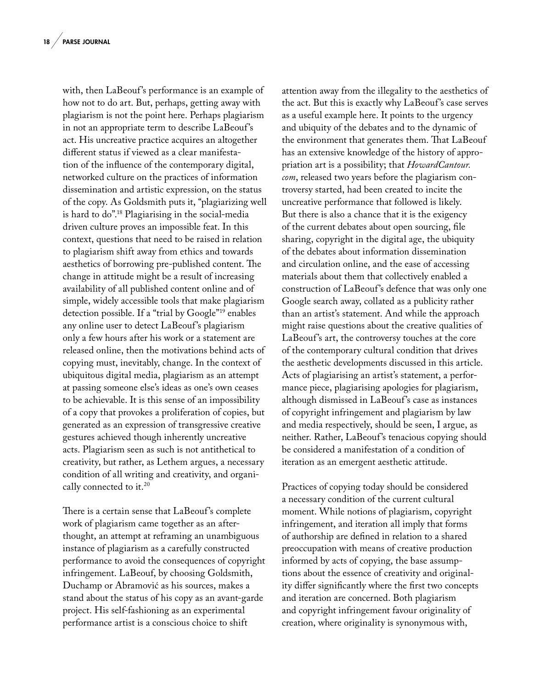with, then LaBeouf's performance is an example of how not to do art. But, perhaps, getting away with plagiarism is not the point here. Perhaps plagiarism in not an appropriate term to describe LaBeouf's act. His uncreative practice acquires an altogether diferent status if viewed as a clear manifestation of the infuence of the contemporary digital, networked culture on the practices of information dissemination and artistic expression, on the status of the copy. As Goldsmith puts it, "plagiarizing well is hard to do".18 Plagiarising in the social-media driven culture proves an impossible feat. In this context, questions that need to be raised in relation to plagiarism shift away from ethics and towards aesthetics of borrowing pre-published content. The change in attitude might be a result of increasing availability of all published content online and of simple, widely accessible tools that make plagiarism detection possible. If a "trial by Google"19 enables any online user to detect LaBeouf's plagiarism only a few hours after his work or a statement are released online, then the motivations behind acts of copying must, inevitably, change. In the context of ubiquitous digital media, plagiarism as an attempt at passing someone else's ideas as one's own ceases to be achievable. It is this sense of an impossibility of a copy that provokes a proliferation of copies, but generated as an expression of transgressive creative gestures achieved though inherently uncreative acts. Plagiarism seen as such is not antithetical to creativity, but rather, as Lethem argues, a necessary condition of all writing and creativity, and organically connected to it.<sup>20</sup>

There is a certain sense that LaBeouf's complete work of plagiarism came together as an afterthought, an attempt at reframing an unambiguous instance of plagiarism as a carefully constructed performance to avoid the consequences of copyright infringement. LaBeouf, by choosing Goldsmith, Duchamp or Abramović as his sources, makes a stand about the status of his copy as an avant-garde project. His self-fashioning as an experimental performance artist is a conscious choice to shift

attention away from the illegality to the aesthetics of the act. But this is exactly why LaBeouf's case serves as a useful example here. It points to the urgency and ubiquity of the debates and to the dynamic of the environment that generates them. That LaBeouf has an extensive knowledge of the history of appropriation art is a possibility; that *HowardCantour. com*, released two years before the plagiarism controversy started, had been created to incite the uncreative performance that followed is likely. But there is also a chance that it is the exigency of the current debates about open sourcing, fle sharing, copyright in the digital age, the ubiquity of the debates about information dissemination and circulation online, and the ease of accessing materials about them that collectively enabled a construction of LaBeouf's defence that was only one Google search away, collated as a publicity rather than an artist's statement. And while the approach might raise questions about the creative qualities of LaBeouf's art, the controversy touches at the core of the contemporary cultural condition that drives the aesthetic developments discussed in this article. Acts of plagiarising an artist's statement, a performance piece, plagiarising apologies for plagiarism, although dismissed in LaBeouf's case as instances of copyright infringement and plagiarism by law and media respectively, should be seen, I argue, as neither. Rather, LaBeouf's tenacious copying should be considered a manifestation of a condition of iteration as an emergent aesthetic attitude.

Practices of copying today should be considered a necessary condition of the current cultural moment. While notions of plagiarism, copyright infringement, and iteration all imply that forms of authorship are defned in relation to a shared preoccupation with means of creative production informed by acts of copying, the base assumptions about the essence of creativity and originality difer signifcantly where the frst two concepts and iteration are concerned. Both plagiarism and copyright infringement favour originality of creation, where originality is synonymous with,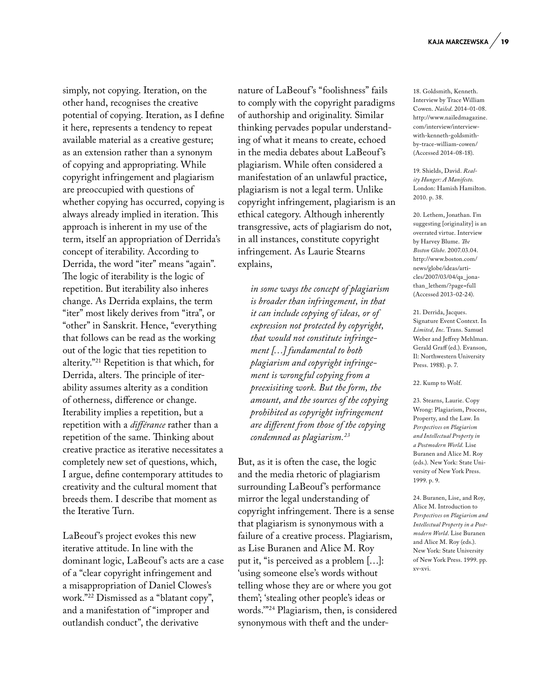simply, not copying. Iteration, on the other hand, recognises the creative potential of copying. Iteration, as I defne it here, represents a tendency to repeat available material as a creative gesture; as an extension rather than a synonym of copying and appropriating. While copyright infringement and plagiarism are preoccupied with questions of whether copying has occurred, copying is always already implied in iteration. This approach is inherent in my use of the term, itself an appropriation of Derrida's concept of iterability. According to Derrida, the word "iter" means "again". The logic of iterability is the logic of repetition. But iterability also inheres change. As Derrida explains, the term "iter" most likely derives from "itra", or "other" in Sanskrit. Hence, "everything that follows can be read as the working out of the logic that ties repetition to alterity."21 Repetition is that which, for Derrida, alters. The principle of iterability assumes alterity as a condition of otherness, diference or change. Iterability implies a repetition, but a repetition with a *diférance* rather than a repetition of the same. Thinking about creative practice as iterative necessitates a completely new set of questions, which, I argue, defne contemporary attitudes to creativity and the cultural moment that breeds them. I describe that moment as the Iterative Turn.

LaBeouf's project evokes this new iterative attitude. In line with the dominant logic, LaBeouf's acts are a case of a "clear copyright infringement and a misappropriation of Daniel Clowes's work."22 Dismissed as a "blatant copy", and a manifestation of "improper and outlandish conduct", the derivative

nature of LaBeouf's "foolishness" fails to comply with the copyright paradigms of authorship and originality. Similar thinking pervades popular understanding of what it means to create, echoed in the media debates about LaBeouf's plagiarism. While often considered a manifestation of an unlawful practice, plagiarism is not a legal term. Unlike copyright infringement, plagiarism is an ethical category. Although inherently transgressive, acts of plagiarism do not, in all instances, constitute copyright infringement. As Laurie Stearns explains,

*in some ways the concept of plagiarism is broader than infringement, in that it can include copying of ideas, or of expression not protected by copyright, that would not constitute infringement […] fundamental to both plagiarism and copyright infringement is wrongful copying from a preexisiting work. But the form, the amount, and the sources of the copying prohibited as copyright infringement are diferent from those of the copying condemned as plagiarism.23*

But, as it is often the case, the logic and the media rhetoric of plagiarism surrounding LaBeouf's performance mirror the legal understanding of copyright infringement. There is a sense that plagiarism is synonymous with a failure of a creative process. Plagiarism, as Lise Buranen and Alice M. Roy put it, "is perceived as a problem […]: 'using someone else's words without telling whose they are or where you got them'; 'stealing other people's ideas or words.'"24 Plagiarism, then, is considered synonymous with theft and the under18. Goldsmith, Kenneth. Interview by Trace William Cowen. *Nailed*. 2014-01-08. http://www.nailedmagazine. com/interview/interviewwith-kenneth-goldsmithby-trace-william-cowen/ (Accessed 2014-08-18).

19. Shields, David. *Reality Hunger: A Manifesto.* London: Hamish Hamilton. 2010. p. 38.

20. Lethem, Jonathan. I'm suggesting [originality] is an overrated virtue. Interview by Harvey Blume. *Te Boston Globe.* 2007.03.04. http://www.boston.com/ news/globe/ideas/articles/2007/03/04/qa\_jonathan\_lethem/?page=full (Accessed 2013-02-24).

21. Derrida, Jacques. Signature Event Context. In *Limited, Inc*. Trans. Samuel Weber and Jefrey Mehlman. Gerald Graff (ed.). Evanson, Il: Northwestern University Press. 1988). p. 7.

22. Kump to Wolf.

23. Stearns, Laurie. Copy Wrong: Plagiarism, Process, Property, and the Law. In *Perspectives on Plagiarism and Intellectual Property in a Postmodern World.* Lise Buranen and Alice M. Roy (eds.). New York: State University of New York Press. 1999. p. 9.

24. Buranen, Lise, and Roy, Alice M. Introduction to *Perspectives on Plagiarism and Intellectual Property in a Postmodern World*. Lise Buranen and Alice M. Roy (eds.). New York: State University of New York Press. 1999. pp. xv-xvi.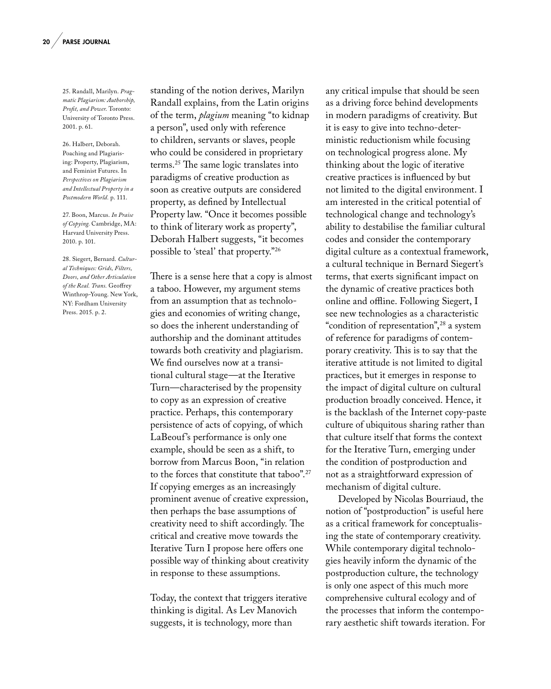25. Randall, Marilyn. *Pragmatic Plagiarism: Authorship, Proft, and Power*. Toronto: University of Toronto Press. 2001. p. 61.

26. Halbert, Deborah. Poaching and Plagiarising: Property, Plagiarism, and Feminist Futures. In *Perspectives on Plagiarism and Intellectual Property in a Postmodern World.* p. 111.

27. Boon, Marcus. *In Praise of Copying.* Cambridge, MA: Harvard University Press. 2010. p. 101.

28. Siegert, Bernard. *Cultural Techniques: Grids, Filters, Doors, and Other Articulation of the Real. Trans.* Geofrey Winthrop-Young. New York, NY: Fordham University Press. 2015. p. 2.

standing of the notion derives, Marilyn Randall explains, from the Latin origins of the term, *plagium* meaning "to kidnap a person", used only with reference to children, servants or slaves, people who could be considered in proprietary terms.<sup>25</sup> The same logic translates into paradigms of creative production as soon as creative outputs are considered property, as defned by Intellectual Property law. "Once it becomes possible to think of literary work as property", Deborah Halbert suggests, "it becomes possible to 'steal' that property."26

There is a sense here that a copy is almost a taboo. However, my argument stems from an assumption that as technologies and economies of writing change, so does the inherent understanding of authorship and the dominant attitudes towards both creativity and plagiarism. We fnd ourselves now at a transitional cultural stage—at the Iterative Turn—characterised by the propensity to copy as an expression of creative practice. Perhaps, this contemporary persistence of acts of copying, of which LaBeouf's performance is only one example, should be seen as a shift, to borrow from Marcus Boon, "in relation to the forces that constitute that taboo".27 If copying emerges as an increasingly prominent avenue of creative expression, then perhaps the base assumptions of creativity need to shift accordingly. The critical and creative move towards the Iterative Turn I propose here offers one possible way of thinking about creativity in response to these assumptions.

Today, the context that triggers iterative thinking is digital. As Lev Manovich suggests, it is technology, more than

any critical impulse that should be seen as a driving force behind developments in modern paradigms of creativity. But it is easy to give into techno-deterministic reductionism while focusing on technological progress alone. My thinking about the logic of iterative creative practices is infuenced by but not limited to the digital environment. I am interested in the critical potential of technological change and technology's ability to destabilise the familiar cultural codes and consider the contemporary digital culture as a contextual framework, a cultural technique in Bernard Siegert's terms, that exerts signifcant impact on the dynamic of creative practices both online and ofine. Following Siegert, I see new technologies as a characteristic "condition of representation",<sup>28</sup> a system of reference for paradigms of contemporary creativity. This is to say that the iterative attitude is not limited to digital practices, but it emerges in response to the impact of digital culture on cultural production broadly conceived. Hence, it is the backlash of the Internet copy-paste culture of ubiquitous sharing rather than that culture itself that forms the context for the Iterative Turn, emerging under the condition of postproduction and not as a straightforward expression of mechanism of digital culture.

Developed by Nicolas Bourriaud, the notion of "postproduction" is useful here as a critical framework for conceptualising the state of contemporary creativity. While contemporary digital technologies heavily inform the dynamic of the postproduction culture, the technology is only one aspect of this much more comprehensive cultural ecology and of the processes that inform the contemporary aesthetic shift towards iteration. For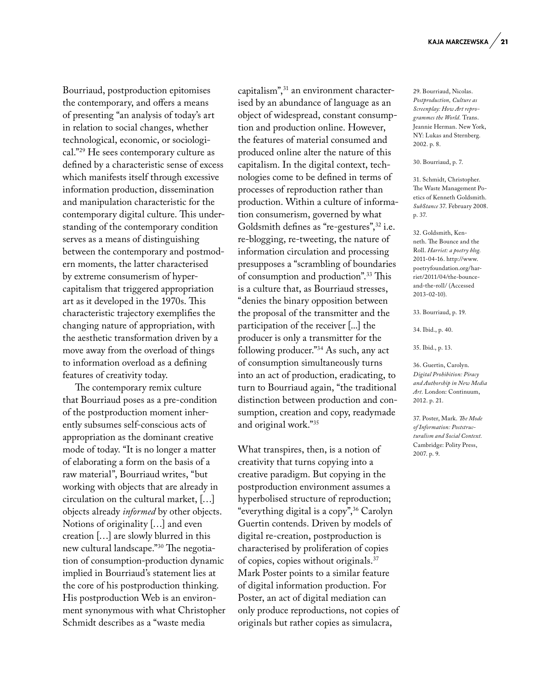Bourriaud, postproduction epitomises the contemporary, and offers a means of presenting "an analysis of today's art in relation to social changes, whether technological, economic, or sociological."29 He sees contemporary culture as defned by a characteristic sense of excess which manifests itself through excessive information production, dissemination and manipulation characteristic for the contemporary digital culture. This understanding of the contemporary condition serves as a means of distinguishing between the contemporary and postmodern moments, the latter characterised by extreme consumerism of hypercapitalism that triggered appropriation art as it developed in the 1970s. This characteristic trajectory exemplifes the changing nature of appropriation, with the aesthetic transformation driven by a move away from the overload of things to information overload as a defning features of creativity today.

The contemporary remix culture that Bourriaud poses as a pre-condition of the postproduction moment inherently subsumes self-conscious acts of appropriation as the dominant creative mode of today. "It is no longer a matter of elaborating a form on the basis of a raw material", Bourriaud writes, "but working with objects that are already in circulation on the cultural market, […] objects already *informed* by other objects. Notions of originality […] and even creation […] are slowly blurred in this new cultural landscape."<sup>30</sup> The negotiation of consumption-production dynamic implied in Bourriaud's statement lies at the core of his postproduction thinking. His postproduction Web is an environment synonymous with what Christopher Schmidt describes as a "waste media

capitalism",<sup>31</sup> an environment characterised by an abundance of language as an object of widespread, constant consumption and production online. However, the features of material consumed and produced online alter the nature of this capitalism. In the digital context, technologies come to be defned in terms of processes of reproduction rather than production. Within a culture of information consumerism, governed by what Goldsmith defines as "re-gestures",<sup>32</sup> i.e. re-blogging, re-tweeting, the nature of information circulation and processing presupposes a "scrambling of boundaries of consumption and production".<sup>33</sup> This is a culture that, as Bourriaud stresses, "denies the binary opposition between the proposal of the transmitter and the participation of the receiver [...] the producer is only a transmitter for the following producer."34 As such, any act of consumption simultaneously turns into an act of production, eradicating, to turn to Bourriaud again, "the traditional distinction between production and consumption, creation and copy, readymade and original work."35

What transpires, then, is a notion of creativity that turns copying into a creative paradigm. But copying in the postproduction environment assumes a hyperbolised structure of reproduction; "everything digital is a copy",<sup>36</sup> Carolyn Guertin contends. Driven by models of digital re-creation, postproduction is characterised by proliferation of copies of copies, copies without originals.37 Mark Poster points to a similar feature of digital information production. For Poster, an act of digital mediation can only produce reproductions, not copies of originals but rather copies as simulacra,

29. Bourriaud, Nicolas. *Postproduction, Culture as Screenplay: How Art reprogrammes the World.* Trans. Jeannie Herman. New York, NY: Lukas and Sternberg. 2002. p. 8.

### 30. Bourriaud, p. 7.

31. Schmidt, Christopher. The Waste Management Poetics of Kenneth Goldsmith. *SubStance* 37. February 2008. p. 37.

32. Goldsmith, Kenneth. The Bounce and the Roll. *Harriet: a poetry blog.* 2011-04-16. http://www. poetryfoundation.org/harriet/2011/04/the-bounceand-the-roll/ (Accessed 2013-02-10).

33. Bourriaud, p. 19.

34. Ibid., p. 40.

35. Ibid., p. 13.

36. Guertin, Carolyn. *Digital Prohibition: Piracy and Authorship in New Media Art.* London: Continuum, 2012. p. 21.

37. Poster, Mark. *Te Mode of Information: Poststructuralism and Social Context.*  Cambridge: Polity Press, 2007. p. 9.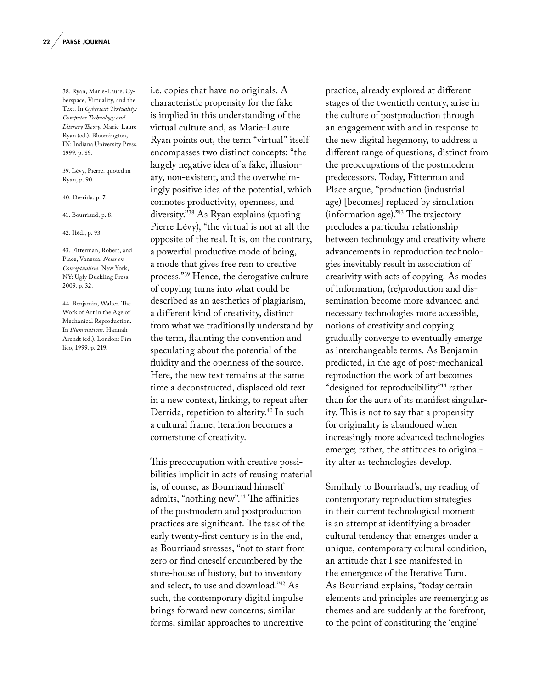38. Ryan, Marie-Laure. Cyberspace, Virtuality, and the Text. In *Cybertext Textuality: Computer Technology and Literary Teory.* Marie-Laure Ryan (ed.). Bloomington, IN: Indiana University Press. 1999. p. 89.

39. Lévy, Pierre. quoted in Ryan, p. 90.

40. Derrida. p. 7.

41. Bourriaud, p. 8.

42. Ibid., p. 93.

43. Fitterman, Robert, and Place, Vanessa. *Notes on Conceptualism.* New York, NY: Ugly Duckling Press, 2009. p. 32.

44. Benjamin, Walter. The Work of Art in the Age of Mechanical Reproduction. In *Illuminations*. Hannah Arendt (ed.). London: Pimlico, 1999. p. 219.

i.e. copies that have no originals. A characteristic propensity for the fake is implied in this understanding of the virtual culture and, as Marie-Laure Ryan points out, the term "virtual" itself encompasses two distinct concepts: "the largely negative idea of a fake, illusionary, non-existent, and the overwhelmingly positive idea of the potential, which connotes productivity, openness, and diversity."38 As Ryan explains (quoting Pierre Lévy), "the virtual is not at all the opposite of the real. It is, on the contrary, a powerful productive mode of being, a mode that gives free rein to creative process."39 Hence, the derogative culture of copying turns into what could be described as an aesthetics of plagiarism, a diferent kind of creativity, distinct from what we traditionally understand by the term, faunting the convention and speculating about the potential of the fuidity and the openness of the source. Here, the new text remains at the same time a deconstructed, displaced old text in a new context, linking, to repeat after Derrida, repetition to alterity.40 In such a cultural frame, iteration becomes a cornerstone of creativity.

This preoccupation with creative possibilities implicit in acts of reusing material is, of course, as Bourriaud himself admits, "nothing new".<sup>41</sup> The affinities of the postmodern and postproduction practices are significant. The task of the early twenty-frst century is in the end, as Bourriaud stresses, "not to start from zero or fnd oneself encumbered by the store-house of history, but to inventory and select, to use and download."42 As such, the contemporary digital impulse brings forward new concerns; similar forms, similar approaches to uncreative

practice, already explored at diferent stages of the twentieth century, arise in the culture of postproduction through an engagement with and in response to the new digital hegemony, to address a diferent range of questions, distinct from the preoccupations of the postmodern predecessors. Today, Fitterman and Place argue, "production (industrial age) [becomes] replaced by simulation  $(information age).$ <sup>243</sup> The trajectory precludes a particular relationship between technology and creativity where advancements in reproduction technologies inevitably result in association of creativity with acts of copying. As modes of information, (re)production and dissemination become more advanced and necessary technologies more accessible, notions of creativity and copying gradually converge to eventually emerge as interchangeable terms. As Benjamin predicted, in the age of post-mechanical reproduction the work of art becomes "designed for reproducibility"44 rather than for the aura of its manifest singularity. This is not to say that a propensity for originality is abandoned when increasingly more advanced technologies emerge; rather, the attitudes to originality alter as technologies develop.

Similarly to Bourriaud's, my reading of contemporary reproduction strategies in their current technological moment is an attempt at identifying a broader cultural tendency that emerges under a unique, contemporary cultural condition, an attitude that I see manifested in the emergence of the Iterative Turn. As Bourriaud explains, "today certain elements and principles are reemerging as themes and are suddenly at the forefront, to the point of constituting the 'engine'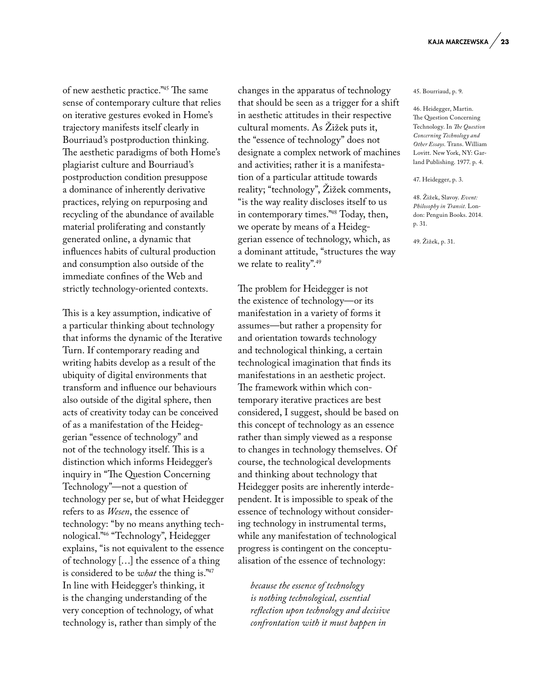of new aesthetic practice."45 The same sense of contemporary culture that relies on iterative gestures evoked in Home's trajectory manifests itself clearly in Bourriaud's postproduction thinking. The aesthetic paradigms of both Home's plagiarist culture and Bourriaud's postproduction condition presuppose a dominance of inherently derivative practices, relying on repurposing and recycling of the abundance of available material proliferating and constantly generated online, a dynamic that infuences habits of cultural production and consumption also outside of the immediate confnes of the Web and strictly technology-oriented contexts.

This is a key assumption, indicative of a particular thinking about technology that informs the dynamic of the Iterative Turn. If contemporary reading and writing habits develop as a result of the ubiquity of digital environments that transform and infuence our behaviours also outside of the digital sphere, then acts of creativity today can be conceived of as a manifestation of the Heideggerian "essence of technology" and not of the technology itself. This is a distinction which informs Heidegger's inquiry in "The Question Concerning" Technology"—not a question of technology per se, but of what Heidegger refers to as *Wesen*, the essence of technology: "by no means anything technological."46 "Technology", Heidegger explains, "is not equivalent to the essence of technology […] the essence of a thing is considered to be *what* the thing is."47 In line with Heidegger's thinking, it is the changing understanding of the very conception of technology, of what technology is, rather than simply of the

changes in the apparatus of technology that should be seen as a trigger for a shift in aesthetic attitudes in their respective cultural moments. As Žižek puts it, the "essence of technology" does not designate a complex network of machines and activities; rather it is a manifestation of a particular attitude towards reality; "technology", Žižek comments, "is the way reality discloses itself to us in contemporary times."48 Today, then, we operate by means of a Heideggerian essence of technology, which, as a dominant attitude, "structures the way we relate to reality".49

The problem for Heidegger is not the existence of technology—or its manifestation in a variety of forms it assumes—but rather a propensity for and orientation towards technology and technological thinking, a certain technological imagination that fnds its manifestations in an aesthetic project. The framework within which contemporary iterative practices are best considered, I suggest, should be based on this concept of technology as an essence rather than simply viewed as a response to changes in technology themselves. Of course, the technological developments and thinking about technology that Heidegger posits are inherently interdependent. It is impossible to speak of the essence of technology without considering technology in instrumental terms, while any manifestation of technological progress is contingent on the conceptualisation of the essence of technology:

*because the essence of technology is nothing technological, essential refection upon technology and decisive confrontation with it must happen in* 

### 45. Bourriaud, p. 9.

46. Heidegger, Martin. The Question Concerning Technology. In *Te Question Concerning Technology and Other Essays.* Trans. William Lovitt. New York, NY: Garland Publishing. 1977. p. 4.

47. Heidegger, p. 3.

48. Žižek, Slavoy. *Event: Philosophy in Transit.* London: Penguin Books. 2014. p. 31.

49. Žižek, p. 31.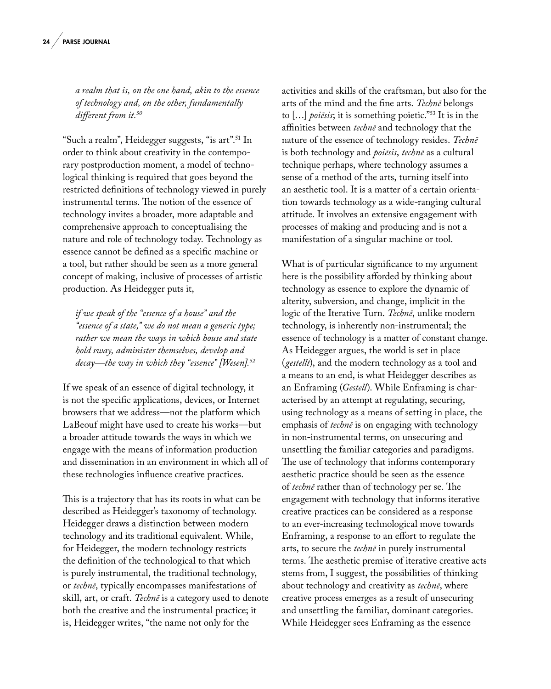*a realm that is, on the one hand, akin to the essence of technology and, on the other, fundamentally diferent from it.50*

"Such a realm", Heidegger suggests, "is art".51 In order to think about creativity in the contemporary postproduction moment, a model of technological thinking is required that goes beyond the restricted defnitions of technology viewed in purely instrumental terms. The notion of the essence of technology invites a broader, more adaptable and comprehensive approach to conceptualising the nature and role of technology today. Technology as essence cannot be defned as a specifc machine or a tool, but rather should be seen as a more general concept of making, inclusive of processes of artistic production. As Heidegger puts it,

*if we speak of the "essence of a house" and the "essence of a state," we do not mean a generic type; rather we mean the ways in which house and state hold sway, administer themselves, develop and decay—the way in which they "essence" [Wesen].52*

If we speak of an essence of digital technology, it is not the specifc applications, devices, or Internet browsers that we address—not the platform which LaBeouf might have used to create his works—but a broader attitude towards the ways in which we engage with the means of information production and dissemination in an environment in which all of these technologies infuence creative practices.

This is a trajectory that has its roots in what can be described as Heidegger's taxonomy of technology. Heidegger draws a distinction between modern technology and its traditional equivalent. While, for Heidegger, the modern technology restricts the defnition of the technological to that which is purely instrumental, the traditional technology, or *technē*, typically encompasses manifestations of skill, art, or craft. *Technē* is a category used to denote both the creative and the instrumental practice; it is, Heidegger writes, "the name not only for the

activities and skills of the craftsman, but also for the arts of the mind and the fne arts. *Technē* belongs to […] *poiēsis*; it is something poietic."53 It is in the afnities between *technē* and technology that the nature of the essence of technology resides. *Technē* is both technology and *poiēsis*, *technē* as a cultural technique perhaps, where technology assumes a sense of a method of the arts, turning itself into an aesthetic tool. It is a matter of a certain orientation towards technology as a wide-ranging cultural attitude. It involves an extensive engagement with processes of making and producing and is not a manifestation of a singular machine or tool.

What is of particular signifcance to my argument here is the possibility aforded by thinking about technology as essence to explore the dynamic of alterity, subversion, and change, implicit in the logic of the Iterative Turn. *Technē*, unlike modern technology, is inherently non-instrumental; the essence of technology is a matter of constant change. As Heidegger argues, the world is set in place (*gestellt*), and the modern technology as a tool and a means to an end, is what Heidegger describes as an Enframing (*Gestell*). While Enframing is characterised by an attempt at regulating, securing, using technology as a means of setting in place, the emphasis of *technē* is on engaging with technology in non-instrumental terms, on unsecuring and unsettling the familiar categories and paradigms. The use of technology that informs contemporary aesthetic practice should be seen as the essence of *techne*<sup>*r*</sup> rather than of technology per se. The engagement with technology that informs iterative creative practices can be considered as a response to an ever-increasing technological move towards Enframing, a response to an efort to regulate the arts, to secure the *technē* in purely instrumental terms. The aesthetic premise of iterative creative acts stems from, I suggest, the possibilities of thinking about technology and creativity as *technē*, where creative process emerges as a result of unsecuring and unsettling the familiar, dominant categories. While Heidegger sees Enframing as the essence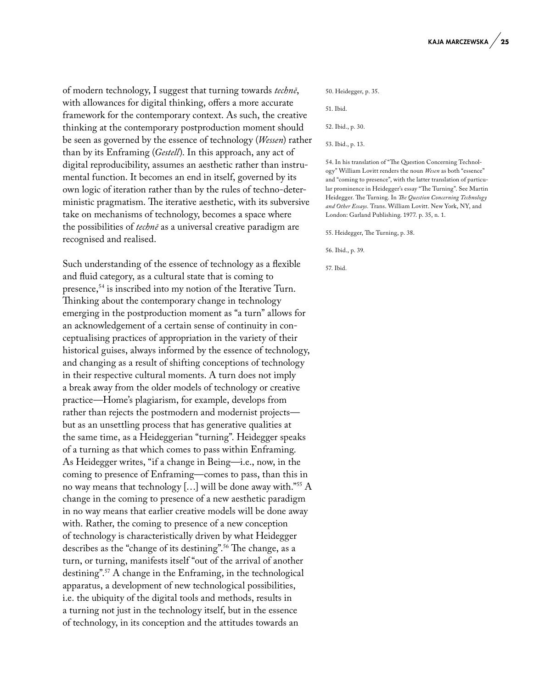of modern technology, I suggest that turning towards *technē*, with allowances for digital thinking, offers a more accurate framework for the contemporary context. As such, the creative thinking at the contemporary postproduction moment should be seen as governed by the essence of technology (*Wessen*) rather than by its Enframing (*Gestell*). In this approach, any act of digital reproducibility, assumes an aesthetic rather than instrumental function. It becomes an end in itself, governed by its own logic of iteration rather than by the rules of techno-deterministic pragmatism. The iterative aesthetic, with its subversive take on mechanisms of technology, becomes a space where the possibilities of *technē* as a universal creative paradigm are recognised and realised.

Such understanding of the essence of technology as a fexible and fuid category, as a cultural state that is coming to presence,54 is inscribed into my notion of the Iterative Turn. Thinking about the contemporary change in technology emerging in the postproduction moment as "a turn" allows for an acknowledgement of a certain sense of continuity in conceptualising practices of appropriation in the variety of their historical guises, always informed by the essence of technology, and changing as a result of shifting conceptions of technology in their respective cultural moments. A turn does not imply a break away from the older models of technology or creative practice—Home's plagiarism, for example, develops from rather than rejects the postmodern and modernist projects but as an unsettling process that has generative qualities at the same time, as a Heideggerian "turning". Heidegger speaks of a turning as that which comes to pass within Enframing. As Heidegger writes, "if a change in Being—i.e., now, in the coming to presence of Enframing—comes to pass, than this in no way means that technology […] will be done away with."55 A change in the coming to presence of a new aesthetic paradigm in no way means that earlier creative models will be done away with. Rather, the coming to presence of a new conception of technology is characteristically driven by what Heidegger describes as the "change of its destining".<sup>56</sup> The change, as a turn, or turning, manifests itself "out of the arrival of another destining".57 A change in the Enframing, in the technological apparatus, a development of new technological possibilities, i.e. the ubiquity of the digital tools and methods, results in a turning not just in the technology itself, but in the essence of technology, in its conception and the attitudes towards an

50. Heidegger, p. 35.

51. Ibid.

52. Ibid., p. 30.

53. Ibid., p. 13.

54. In his translation of "The Question Concerning Technology" William Lovitt renders the noun *Wesen* as both "essence" and "coming to presence", with the latter translation of particular prominence in Heidegger's essay "The Turning". See Martin Heidegger. The Turning. In *The Question Concerning Technology and Other Essays.* Trans. William Lovitt. New York, NY, and London: Garland Publishing. 1977. p. 35, n. 1.

55. Heidegger, The Turning, p. 38.

56. Ibid., p. 39.

57. Ibid.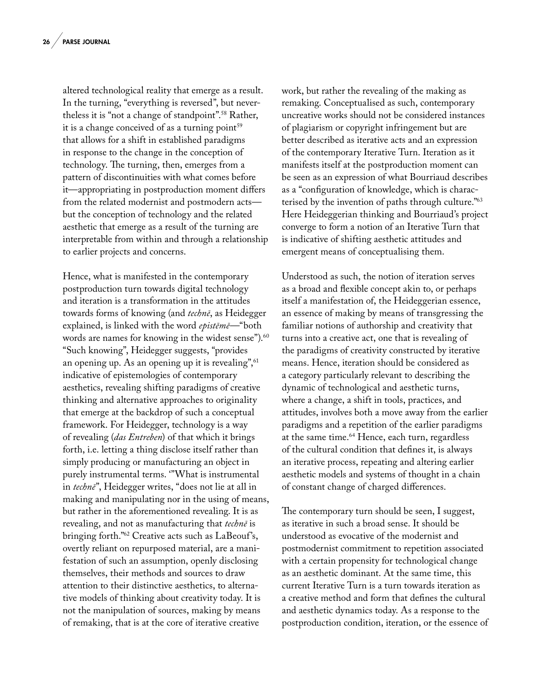altered technological reality that emerge as a result. In the turning, "everything is reversed", but nevertheless it is "not a change of standpoint".58 Rather, it is a change conceived of as a turning point $59$ that allows for a shift in established paradigms in response to the change in the conception of technology. The turning, then, emerges from a pattern of discontinuities with what comes before it—appropriating in postproduction moment difers from the related modernist and postmodern acts but the conception of technology and the related aesthetic that emerge as a result of the turning are interpretable from within and through a relationship to earlier projects and concerns.

Hence, what is manifested in the contemporary postproduction turn towards digital technology and iteration is a transformation in the attitudes towards forms of knowing (and *technē*, as Heidegger explained, is linked with the word *epistēmē*—"both words are names for knowing in the widest sense").<sup>60</sup> "Such knowing", Heidegger suggests, "provides an opening up. As an opening up it is revealing",  $61$ indicative of epistemologies of contemporary aesthetics, revealing shifting paradigms of creative thinking and alternative approaches to originality that emerge at the backdrop of such a conceptual framework. For Heidegger, technology is a way of revealing (*das Entreben*) of that which it brings forth, i.e. letting a thing disclose itself rather than simply producing or manufacturing an object in purely instrumental terms. '"What is instrumental in *technē*", Heidegger writes, "does not lie at all in making and manipulating nor in the using of means, but rather in the aforementioned revealing. It is as revealing, and not as manufacturing that *technē* is bringing forth."62 Creative acts such as LaBeouf's, overtly reliant on repurposed material, are a manifestation of such an assumption, openly disclosing themselves, their methods and sources to draw attention to their distinctive aesthetics, to alternative models of thinking about creativity today. It is not the manipulation of sources, making by means of remaking, that is at the core of iterative creative

work, but rather the revealing of the making as remaking. Conceptualised as such, contemporary uncreative works should not be considered instances of plagiarism or copyright infringement but are better described as iterative acts and an expression of the contemporary Iterative Turn. Iteration as it manifests itself at the postproduction moment can be seen as an expression of what Bourriaud describes as a "confguration of knowledge, which is characterised by the invention of paths through culture."63 Here Heideggerian thinking and Bourriaud's project converge to form a notion of an Iterative Turn that is indicative of shifting aesthetic attitudes and emergent means of conceptualising them.

Understood as such, the notion of iteration serves as a broad and fexible concept akin to, or perhaps itself a manifestation of, the Heideggerian essence, an essence of making by means of transgressing the familiar notions of authorship and creativity that turns into a creative act, one that is revealing of the paradigms of creativity constructed by iterative means. Hence, iteration should be considered as a category particularly relevant to describing the dynamic of technological and aesthetic turns, where a change, a shift in tools, practices, and attitudes, involves both a move away from the earlier paradigms and a repetition of the earlier paradigms at the same time.<sup>64</sup> Hence, each turn, regardless of the cultural condition that defnes it, is always an iterative process, repeating and altering earlier aesthetic models and systems of thought in a chain of constant change of charged diferences.

The contemporary turn should be seen, I suggest, as iterative in such a broad sense. It should be understood as evocative of the modernist and postmodernist commitment to repetition associated with a certain propensity for technological change as an aesthetic dominant. At the same time, this current Iterative Turn is a turn towards iteration as a creative method and form that defnes the cultural and aesthetic dynamics today. As a response to the postproduction condition, iteration, or the essence of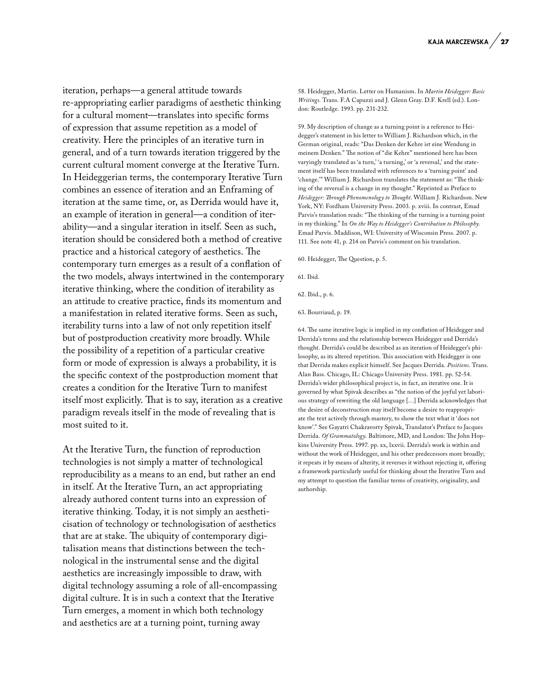iteration, perhaps—a general attitude towards re-appropriating earlier paradigms of aesthetic thinking for a cultural moment—translates into specifc forms of expression that assume repetition as a model of creativity. Here the principles of an iterative turn in general, and of a turn towards iteration triggered by the current cultural moment converge at the Iterative Turn. In Heideggerian terms, the contemporary Iterative Turn combines an essence of iteration and an Enframing of iteration at the same time, or, as Derrida would have it, an example of iteration in general—a condition of iterability—and a singular iteration in itself. Seen as such, iteration should be considered both a method of creative practice and a historical category of aesthetics. The contemporary turn emerges as a result of a confation of the two models, always intertwined in the contemporary iterative thinking, where the condition of iterability as an attitude to creative practice, fnds its momentum and a manifestation in related iterative forms. Seen as such, iterability turns into a law of not only repetition itself but of postproduction creativity more broadly. While the possibility of a repetition of a particular creative form or mode of expression is always a probability, it is the specifc context of the postproduction moment that creates a condition for the Iterative Turn to manifest itself most explicitly. That is to say, iteration as a creative paradigm reveals itself in the mode of revealing that is most suited to it.

At the Iterative Turn, the function of reproduction technologies is not simply a matter of technological reproducibility as a means to an end, but rather an end in itself. At the Iterative Turn, an act appropriating already authored content turns into an expression of iterative thinking. Today, it is not simply an aestheticisation of technology or technologisation of aesthetics that are at stake. The ubiquity of contemporary digitalisation means that distinctions between the technological in the instrumental sense and the digital aesthetics are increasingly impossible to draw, with digital technology assuming a role of all-encompassing digital culture. It is in such a context that the Iterative Turn emerges, a moment in which both technology and aesthetics are at a turning point, turning away

58. Heidegger, Martin. Letter on Humanism. In *Martin Heidegger: Basic Writings.* Trans. F.A Capuzzi and J. Glenn Gray. D.F. Krell (ed.). London: Routledge. 1993. pp. 231-232.

59. My description of change as a turning point is a reference to Heidegger's statement in his letter to William J. Richardson which, in the German original, reads: "Das Denken der Kehre ist eine Wendung in meinem Denken." The notion of "die Kehre" mentioned here has been varyingly translated as 'a turn,' 'a turning,' or 'a reversal,' and the statement itself has been translated with references to a 'turning point' and 'change." William J. Richardson translates the statement as: "The thinking of the reversal is a change in my thought." Reprinted as Preface to *Heidegger: Trough Phenomenology to Tought*. William J. Richardson. New York, NY: Fordham University Press. 2003. p. xviii. In contrast, Emad Parvis's translation reads: "The thinking of the turning is a turning point in my thinking." In *On the Way to Heidegger's Contribution to Philosophy.* Emad Parvis. Maddison, WI: University of Wisconsin Press. 2007. p. 111. See note 41, p. 214 on Parvis's comment on his translation.

60. Heidegger, The Question, p. 5.

61. Ibid.

62. Ibid., p. 6.

63. Bourriaud, p. 19.

64. The same iterative logic is implied in my conflation of Heidegger and Derrida's terms and the relationship between Heidegger and Derrida's thought. Derrida's could be described as an iteration of Heidegger's philosophy, as its altered repetition. This association with Heidegger is one that Derrida makes explicit himself. See Jacques Derrida. *Positions*. Trans. Alan Bass. Chicago, IL: Chicago University Press. 1981. pp. 52-54. Derrida's wider philosophical project is, in fact, an iterative one. It is governed by what Spivak describes as "the notion of the joyful yet laborious strategy of rewriting the old language […] Derrida acknowledges that the desire of deconstruction may itself become a desire to reappropriate the text actively through mastery, to show the text what it 'does not know'." See Gayatri Chakravorty Spivak, Translator's Preface to Jacques Derrida. Of Grammatology. Baltimore, MD, and London: The John Hopkins University Press. 1997. pp. xx, lxxvii. Derrida's work is within and without the work of Heidegger, and his other predecessors more broadly; it repeats it by means of alterity, it reverses it without rejecting it, ofering a framework particularly useful for thinking about the Iterative Turn and my attempt to question the familiar terms of creativity, originality, and authorship.